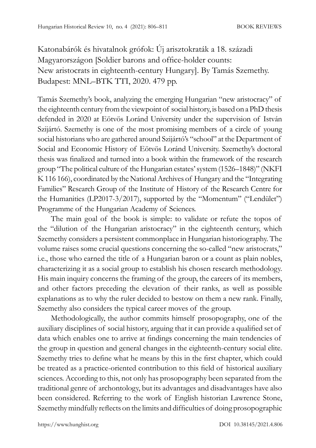Katonabárók és hivatalnok grófok: Új arisztokraták a 18. századi Magyarországon [Soldier barons and office-holder counts: New aristocrats in eighteenth-century Hungary]. By Tamás Szemethy. Budapest: MNL–BTK TTI, 2020. 479 pp.

Tamás Szemethy's book, analyzing the emerging Hungarian "new aristocracy" of the eighteenth century from the viewpoint of social history, is based on a PhD thesis defended in 2020 at Eötvös Loránd University under the supervision of István Szijártó. Szemethy is one of the most promising members of a circle of young social historians who are gathered around Szijártó's "school" at the Department of Social and Economic History of Eötvös Loránd University. Szemethy's doctoral thesis was finalized and turned into a book within the framework of the research group "The political culture of the Hungarian estates' system (1526–1848)" (NKFI K 116 166), coordinated by the National Archives of Hungary and the "Integrating Families" Research Group of the Institute of History of the Research Centre for the Humanities (LP2017-3/2017), supported by the "Momentum" ("Lendület") Programme of the Hungarian Academy of Sciences.

The main goal of the book is simple: to validate or refute the topos of the "dilution of the Hungarian aristocracy" in the eighteenth century, which Szemethy considers a persistent commonplace in Hungarian historiography. The volume raises some crucial questions concerning the so-called "new aristocrats," i.e., those who earned the title of a Hungarian baron or a count as plain nobles, characterizing it as a social group to establish his chosen research methodology. His main inquiry concerns the framing of the group, the careers of its members, and other factors preceding the elevation of their ranks, as well as possible explanations as to why the ruler decided to bestow on them a new rank. Finally, Szemethy also considers the typical career moves of the group.

Methodologically, the author commits himself prosopography, one of the auxiliary disciplines of social history, arguing that it can provide a qualified set of data which enables one to arrive at findings concerning the main tendencies of the group in question and general changes in the eighteenth-century social elite. Szemethy tries to define what he means by this in the first chapter, which could be treated as a practice-oriented contribution to this field of historical auxiliary sciences. According to this, not only has prosopography been separated from the traditional genre of archontology, but its advantages and disadvantages have also been considered. Referring to the work of English historian Lawrence Stone, Szemethy mindfully reflects on the limits and difficulties of doing prosopographic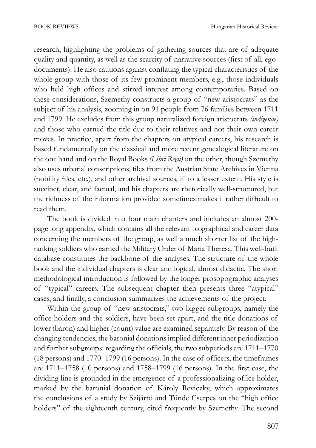research, highlighting the problems of gathering sources that are of adequate quality and quantity, as well as the scarcity of narrative sources (first of all, egodocuments). He also cautions against conflating the typical characteristics of the whole group with those of its few prominent members, e.g., those individuals who held high offices and stirred interest among contemporaries. Based on these considerations, Szemethy constructs a group of "new aristocrats" as the subject of his analysis, zooming in on 91 people from 76 families between 1711 and 1799. He excludes from this group naturalized foreign aristocrats *(indigenae)*  and those who earned the title due to their relatives and not their own career moves. In practice, apart from the chapters on atypical careers, his research is based fundamentally on the classical and more recent genealogical literature on the one hand and on the Royal Books *(Libri Regii)* on the other, though Szemethy also uses urbarial conscriptions, files from the Austrian State Archives in Vienna (nobility files, etc.), and other archival sources, if to a lesser extent. His style is succinct, clear, and factual, and his chapters are rhetorically well-structured, but the richness of the information provided sometimes makes it rather difficult to read them.

The book is divided into four main chapters and includes an almost 200 page long appendix, which contains all the relevant biographical and career data concerning the members of the group, as well a much shorter list of the highranking soldiers who earned the Military Order of Maria Theresa. This well-built database constitutes the backbone of the analyses. The structure of the whole book and the individual chapters is clear and logical, almost didactic. The short methodological introduction is followed by the longer prosopographic analyses of "typical" careers. The subsequent chapter then presents three "atypical" cases, and finally, a conclusion summarizes the achievements of the project.

Within the group of "new aristocrats," two bigger subgroups, namely the office holders and the soldiers, have been set apart, and the title-donations of lower (baron) and higher (count) value are examined separately. By reason of the changing tendencies, the baronial donations implied different inner periodization and further subgroups: regarding the officials, the two subperiods are 1711–1770 (18 persons) and 1770–1799 (16 persons). In the case of officers, the timeframes are 1711–1758 (10 persons) and 1758–1799 (16 persons). In the first case, the dividing line is grounded in the emergence of a professionalizing office holder, marked by the baronial donation of Károly Reviczky, which approximates the conclusions of a study by Szijártó and Tünde Cserpes on the "high office holders" of the eighteenth century, cited frequently by Szemethy. The second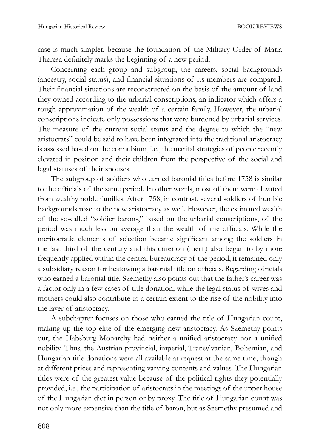case is much simpler, because the foundation of the Military Order of Maria Theresa definitely marks the beginning of a new period.

Concerning each group and subgroup, the careers, social backgrounds (ancestry, social status), and financial situations of its members are compared. Their financial situations are reconstructed on the basis of the amount of land they owned according to the urbarial conscriptions, an indicator which offers a rough approximation of the wealth of a certain family. However, the urbarial conscriptions indicate only possessions that were burdened by urbarial services. The measure of the current social status and the degree to which the "new aristocrats" could be said to have been integrated into the traditional aristocracy is assessed based on the connubium, i.e., the marital strategies of people recently elevated in position and their children from the perspective of the social and legal statuses of their spouses.

The subgroup of soldiers who earned baronial titles before 1758 is similar to the officials of the same period. In other words, most of them were elevated from wealthy noble families. After 1758, in contrast, several soldiers of humble backgrounds rose to the new aristocracy as well. However, the estimated wealth of the so-called "soldier barons," based on the urbarial conscriptions, of the period was much less on average than the wealth of the officials. While the meritocratic elements of selection became significant among the soldiers in the last third of the century and this criterion (merit) also began to by more frequently applied within the central bureaucracy of the period, it remained only a subsidiary reason for bestowing a baronial title on officials. Regarding officials who earned a baronial title, Szemethy also points out that the father's career was a factor only in a few cases of title donation, while the legal status of wives and mothers could also contribute to a certain extent to the rise of the nobility into the layer of aristocracy.

A subchapter focuses on those who earned the title of Hungarian count, making up the top elite of the emerging new aristocracy. As Szemethy points out, the Habsburg Monarchy had neither a unified aristocracy nor a unified nobility. Thus, the Austrian provincial, imperial, Transylvanian, Bohemian, and Hungarian title donations were all available at request at the same time, though at different prices and representing varying contents and values. The Hungarian titles were of the greatest value because of the political rights they potentially provided, i.e., the participation of aristocrats in the meetings of the upper house of the Hungarian diet in person or by proxy. The title of Hungarian count was not only more expensive than the title of baron, but as Szemethy presumed and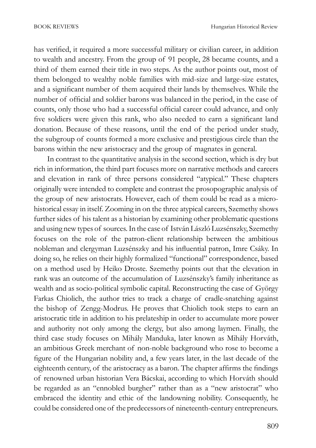has verified, it required a more successful military or civilian career, in addition to wealth and ancestry. From the group of 91 people, 28 became counts, and a third of them earned their title in two steps. As the author points out, most of them belonged to wealthy noble families with mid-size and large-size estates, and a significant number of them acquired their lands by themselves. While the number of official and soldier barons was balanced in the period, in the case of counts, only those who had a successful official career could advance, and only five soldiers were given this rank, who also needed to earn a significant land donation. Because of these reasons, until the end of the period under study, the subgroup of counts formed a more exclusive and prestigious circle than the barons within the new aristocracy and the group of magnates in general.

In contrast to the quantitative analysis in the second section, which is dry but rich in information, the third part focuses more on narrative methods and careers and elevation in rank of three persons considered "atypical." These chapters originally were intended to complete and contrast the prosopographic analysis of the group of new aristocrats. However, each of them could be read as a microhistorical essay in itself. Zooming in on the three atypical careers, Szemethy shows further sides of his talent as a historian by examining other problematic questions and using new types of sources. In the case of István László Luzsénszky, Szemethy focuses on the role of the patron-client relationship between the ambitious nobleman and clergyman Luzsénszky and his influential patron, Imre Csáky. In doing so, he relies on their highly formalized "functional" correspondence, based on a method used by Heiko Droste. Szemethy points out that the elevation in rank was an outcome of the accumulation of Luzsénszky's family inheritance as wealth and as socio-political symbolic capital. Reconstructing the case of György Farkas Chiolich, the author tries to track a charge of cradle-snatching against the bishop of Zengg-Modrus. He proves that Chiolich took steps to earn an aristocratic title in addition to his prelateship in order to accumulate more power and authority not only among the clergy, but also among laymen. Finally, the third case study focuses on Mihály Manduka, later known as Mihály Horváth, an ambitious Greek merchant of non-noble background who rose to become a figure of the Hungarian nobility and, a few years later, in the last decade of the eighteenth century, of the aristocracy as a baron. The chapter affirms the findings of renowned urban historian Vera Bácskai, according to which Horváth should be regarded as an "ennobled burgher" rather than as a "new aristocrat" who embraced the identity and ethic of the landowning nobility. Consequently, he could be considered one of the predecessors of nineteenth-century entrepreneurs.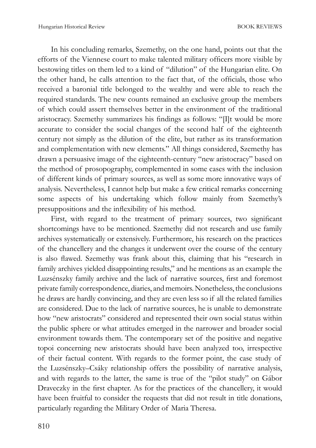In his concluding remarks, Szemethy, on the one hand, points out that the efforts of the Viennese court to make talented military officers more visible by bestowing titles on them led to a kind of "dilution" of the Hungarian elite. On the other hand, he calls attention to the fact that, of the officials, those who received a baronial title belonged to the wealthy and were able to reach the required standards. The new counts remained an exclusive group the members of which could assert themselves better in the environment of the traditional aristocracy. Szemethy summarizes his findings as follows: "[I]t would be more accurate to consider the social changes of the second half of the eighteenth century not simply as the dilution of the elite, but rather as its transformation and complementation with new elements." All things considered, Szemethy has drawn a persuasive image of the eighteenth-century "new aristocracy" based on the method of prosopography, complemented in some cases with the inclusion of different kinds of primary sources, as well as some more innovative ways of analysis. Nevertheless, I cannot help but make a few critical remarks concerning some aspects of his undertaking which follow mainly from Szemethy's presuppositions and the inflexibility of his method.

First, with regard to the treatment of primary sources, two significant shortcomings have to be mentioned. Szemethy did not research and use family archives systematically or extensively. Furthermore, his research on the practices of the chancellery and the changes it underwent over the course of the century is also flawed. Szemethy was frank about this, claiming that his "research in family archives yielded disappointing results," and he mentions as an example the Luzsénszky family archive and the lack of narrative sources, first and foremost private family correspondence, diaries, and memoirs. Nonetheless, the conclusions he draws are hardly convincing, and they are even less so if all the related families are considered. Due to the lack of narrative sources, he is unable to demonstrate how "new aristocrats" considered and represented their own social status within the public sphere or what attitudes emerged in the narrower and broader social environment towards them. The contemporary set of the positive and negative topoi concerning new aristocrats should have been analyzed too, irrespective of their factual content. With regards to the former point, the case study of the Luzsénszky–Csáky relationship offers the possibility of narrative analysis, and with regards to the latter, the same is true of the "pilot study" on Gábor Draveczky in the first chapter. As for the practices of the chancellery, it would have been fruitful to consider the requests that did not result in title donations, particularly regarding the Military Order of Maria Theresa.